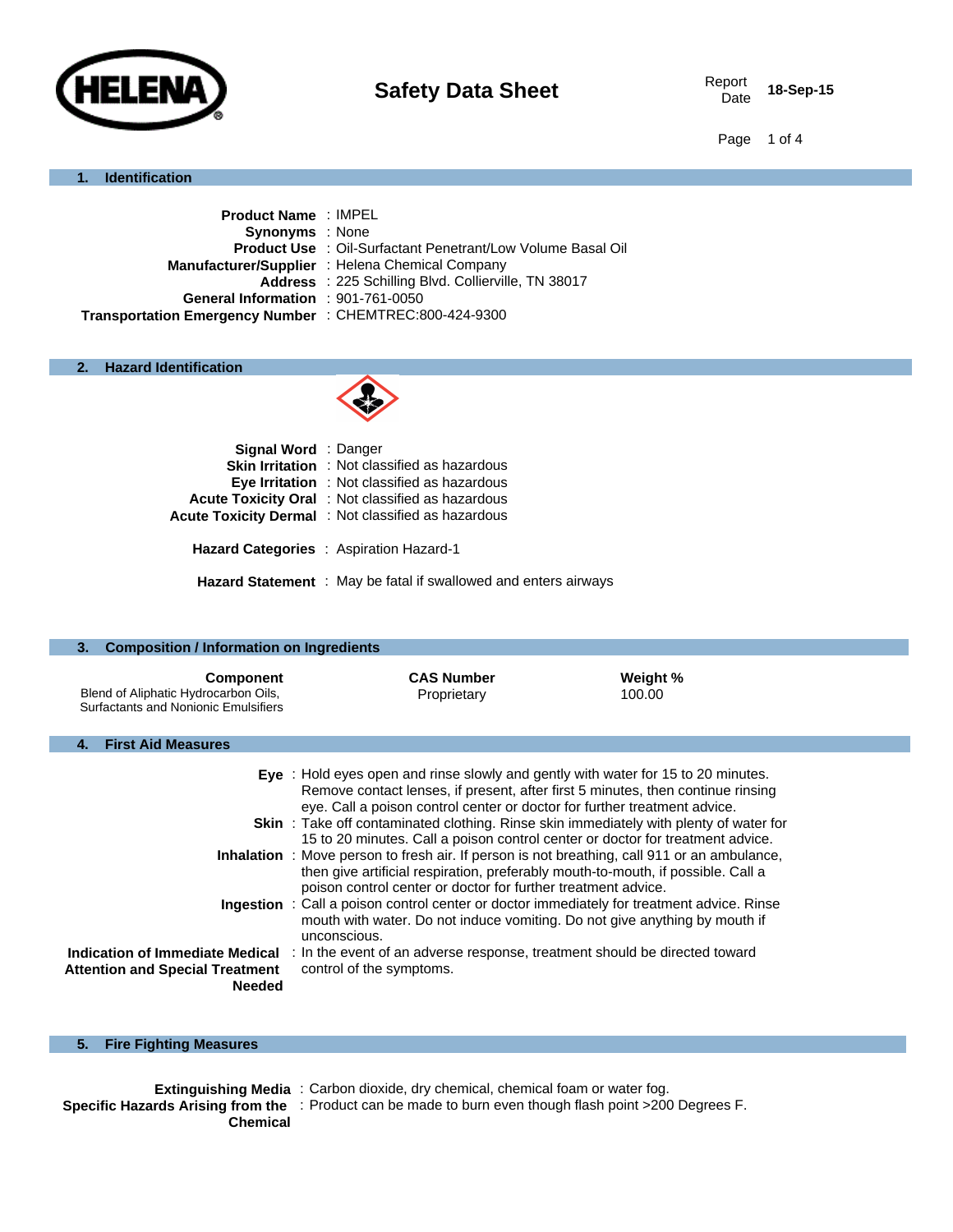

18-Sep-15

Page 1 of 4

## **1. Identification**

| <b>Product Name: IMPEL</b>                              |                                                                    |
|---------------------------------------------------------|--------------------------------------------------------------------|
| <b>Synonyms</b> : None                                  |                                                                    |
|                                                         | <b>Product Use : Oil-Surfactant Penetrant/Low Volume Basal Oil</b> |
|                                                         | Manufacturer/Supplier: Helena Chemical Company                     |
|                                                         | Address : 225 Schilling Blvd. Collierville, TN 38017               |
| General Information : 901-761-0050                      |                                                                    |
| Transportation Emergency Number : CHEMTREC:800-424-9300 |                                                                    |
|                                                         |                                                                    |

## **2. Hazard Identification**



| <b>Signal Word</b> : Danger |                                                                        |
|-----------------------------|------------------------------------------------------------------------|
|                             | <b>Skin Irritation</b> : Not classified as hazardous                   |
|                             | <b>Eye Irritation</b> : Not classified as hazardous                    |
|                             | <b>Acute Toxicity Oral</b> : Not classified as hazardous               |
|                             | <b>Acute Toxicity Dermal</b> : Not classified as hazardous             |
|                             | Hazard Categories : Aspiration Hazard-1                                |
|                             | <b>Hazard Statement</b> : May be fatal if swallowed and enters airways |

| <b>Composition / Information on Ingredients</b><br>3.                                            |                                                                                                                                                                                                                                                                                                                                                                                                                                                                                                                                                                                                                                                                                                                                                                                                                                                                                                    |                    |  |
|--------------------------------------------------------------------------------------------------|----------------------------------------------------------------------------------------------------------------------------------------------------------------------------------------------------------------------------------------------------------------------------------------------------------------------------------------------------------------------------------------------------------------------------------------------------------------------------------------------------------------------------------------------------------------------------------------------------------------------------------------------------------------------------------------------------------------------------------------------------------------------------------------------------------------------------------------------------------------------------------------------------|--------------------|--|
| <b>Component</b><br>Blend of Aliphatic Hydrocarbon Oils,<br>Surfactants and Nonionic Emulsifiers | <b>CAS Number</b><br>Proprietary                                                                                                                                                                                                                                                                                                                                                                                                                                                                                                                                                                                                                                                                                                                                                                                                                                                                   | Weight %<br>100.00 |  |
| <b>First Aid Measures</b><br>4.                                                                  |                                                                                                                                                                                                                                                                                                                                                                                                                                                                                                                                                                                                                                                                                                                                                                                                                                                                                                    |                    |  |
|                                                                                                  | Eye: Hold eyes open and rinse slowly and gently with water for 15 to 20 minutes.<br>Remove contact lenses, if present, after first 5 minutes, then continue rinsing<br>eye. Call a poison control center or doctor for further treatment advice.<br><b>Skin</b> : Take off contaminated clothing. Rinse skin immediately with plenty of water for<br>15 to 20 minutes. Call a poison control center or doctor for treatment advice.<br><b>Inhalation</b> : Move person to fresh air. If person is not breathing, call 911 or an ambulance,<br>then give artificial respiration, preferably mouth-to-mouth, if possible. Call a<br>poison control center or doctor for further treatment advice.<br><b>Ingestion</b> : Call a poison control center or doctor immediately for treatment advice. Rinse<br>mouth with water. Do not induce vomiting. Do not give anything by mouth if<br>unconscious. |                    |  |
| <b>Attention and Special Treatment</b><br><b>Needed</b>                                          | Indication of Immediate Medical: In the event of an adverse response, treatment should be directed toward<br>control of the symptoms.                                                                                                                                                                                                                                                                                                                                                                                                                                                                                                                                                                                                                                                                                                                                                              |                    |  |

# **5. Fire Fighting Measures**

|                 | <b>Extinguishing Media</b> : Carbon dioxide, dry chemical, chemical foam or water fog.                  |
|-----------------|---------------------------------------------------------------------------------------------------------|
|                 | Specific Hazards Arising from the : Product can be made to burn even though flash point >200 Degrees F. |
| <b>Chemical</b> |                                                                                                         |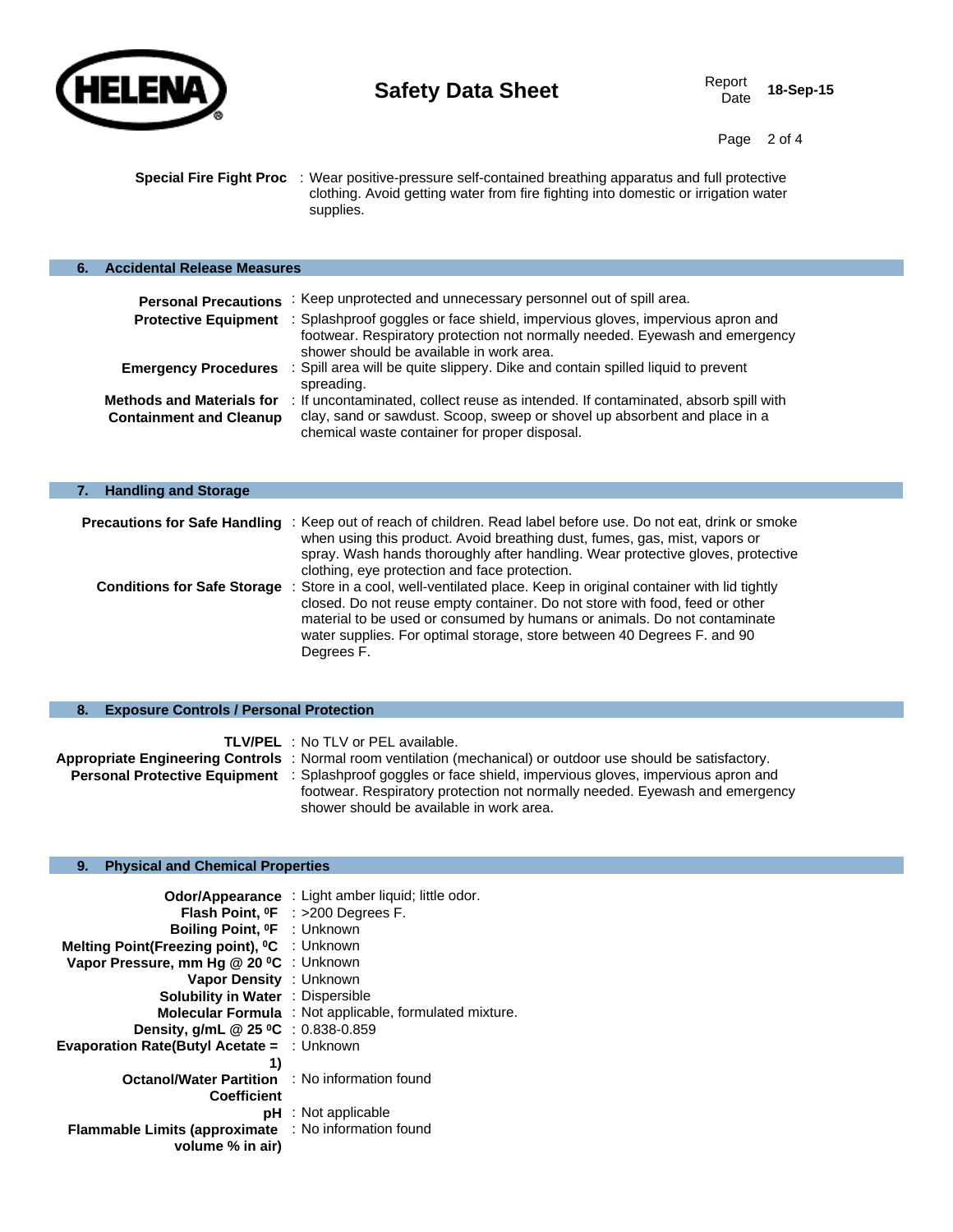

ı

Page 2 of 4

**Special Fire Fight Proc** : Wear positive-pressure self-contained breathing apparatus and full protective clothing. Avoid getting water from fire fighting into domestic or irrigation water supplies.

| <b>Accidental Release Measures</b>                                 |                                                                                                                                                                                                                  |
|--------------------------------------------------------------------|------------------------------------------------------------------------------------------------------------------------------------------------------------------------------------------------------------------|
| <b>Personal Precautions</b>                                        | : Keep unprotected and unnecessary personnel out of spill area.                                                                                                                                                  |
| <b>Protective Equipment</b>                                        | : Splashproof goggles or face shield, impervious gloves, impervious apron and<br>footwear. Respiratory protection not normally needed. Eyewash and emergency<br>shower should be available in work area.         |
| <b>Emergency Procedures</b>                                        | : Spill area will be quite slippery. Dike and contain spilled liquid to prevent<br>spreading.                                                                                                                    |
| <b>Methods and Materials for</b><br><b>Containment and Cleanup</b> | : If uncontaminated, collect reuse as intended. If contaminated, absorb spill with<br>clay, sand or sawdust. Scoop, sweep or shovel up absorbent and place in a<br>chemical waste container for proper disposal. |

| <b>Handling and Storage</b> |                                                                                                                                                                                                                                                                                                                                                                       |
|-----------------------------|-----------------------------------------------------------------------------------------------------------------------------------------------------------------------------------------------------------------------------------------------------------------------------------------------------------------------------------------------------------------------|
|                             |                                                                                                                                                                                                                                                                                                                                                                       |
|                             | <b>Precautions for Safe Handling</b> : Keep out of reach of children. Read label before use. Do not eat, drink or smoke<br>when using this product. Avoid breathing dust, fumes, gas, mist, vapors or                                                                                                                                                                 |
|                             | spray. Wash hands thoroughly after handling. Wear protective gloves, protective<br>clothing, eye protection and face protection.                                                                                                                                                                                                                                      |
|                             | Conditions for Safe Storage : Store in a cool, well-ventilated place. Keep in original container with lid tightly<br>closed. Do not reuse empty container. Do not store with food, feed or other<br>material to be used or consumed by humans or animals. Do not contaminate<br>water supplies. For optimal storage, store between 40 Degrees F. and 90<br>Degrees F. |
|                             |                                                                                                                                                                                                                                                                                                                                                                       |

## **8. Exposure Controls / Personal Protection**

| <b>TLV/PEL</b> : No TLV or PEL available.                                                                          |
|--------------------------------------------------------------------------------------------------------------------|
| Appropriate Engineering Controls: Normal room ventilation (mechanical) or outdoor use should be satisfactory.      |
| <b>Personal Protective Equipment</b> : Splashproof goggles or face shield, impervious gloves, impervious apron and |
| footwear. Respiratory protection not normally needed. Eyewash and emergency                                        |
| shower should be available in work area.                                                                           |

## **9. Physical and Chemical Properties**

| <b>Odor/Appearance</b> : Light amber liquid; little odor.<br><b>Flash Point, <math>{}^0F</math></b> : >200 Degrees F.<br>Boiling Point, <sup>o</sup> F : Unknown<br>Melting Point(Freezing point), <sup>o</sup> C : Unknown<br>Vapor Pressure, mm Hg @ 20 °C : Unknown<br>Vapor Density : Unknown<br><b>Solubility in Water : Dispersible</b><br><b>Molecular Formula</b> : Not applicable, formulated mixture.<br><b>Density, g/mL @ 25 °C</b> : 0.838-0.859 |
|---------------------------------------------------------------------------------------------------------------------------------------------------------------------------------------------------------------------------------------------------------------------------------------------------------------------------------------------------------------------------------------------------------------------------------------------------------------|
| Evaporation Rate(Butyl Acetate = : Unknown                                                                                                                                                                                                                                                                                                                                                                                                                    |
| <b>Octanol/Water Partition : No information found</b>                                                                                                                                                                                                                                                                                                                                                                                                         |
|                                                                                                                                                                                                                                                                                                                                                                                                                                                               |
| pH : Not applicable                                                                                                                                                                                                                                                                                                                                                                                                                                           |
| Flammable Limits (approximate : No information found                                                                                                                                                                                                                                                                                                                                                                                                          |
|                                                                                                                                                                                                                                                                                                                                                                                                                                                               |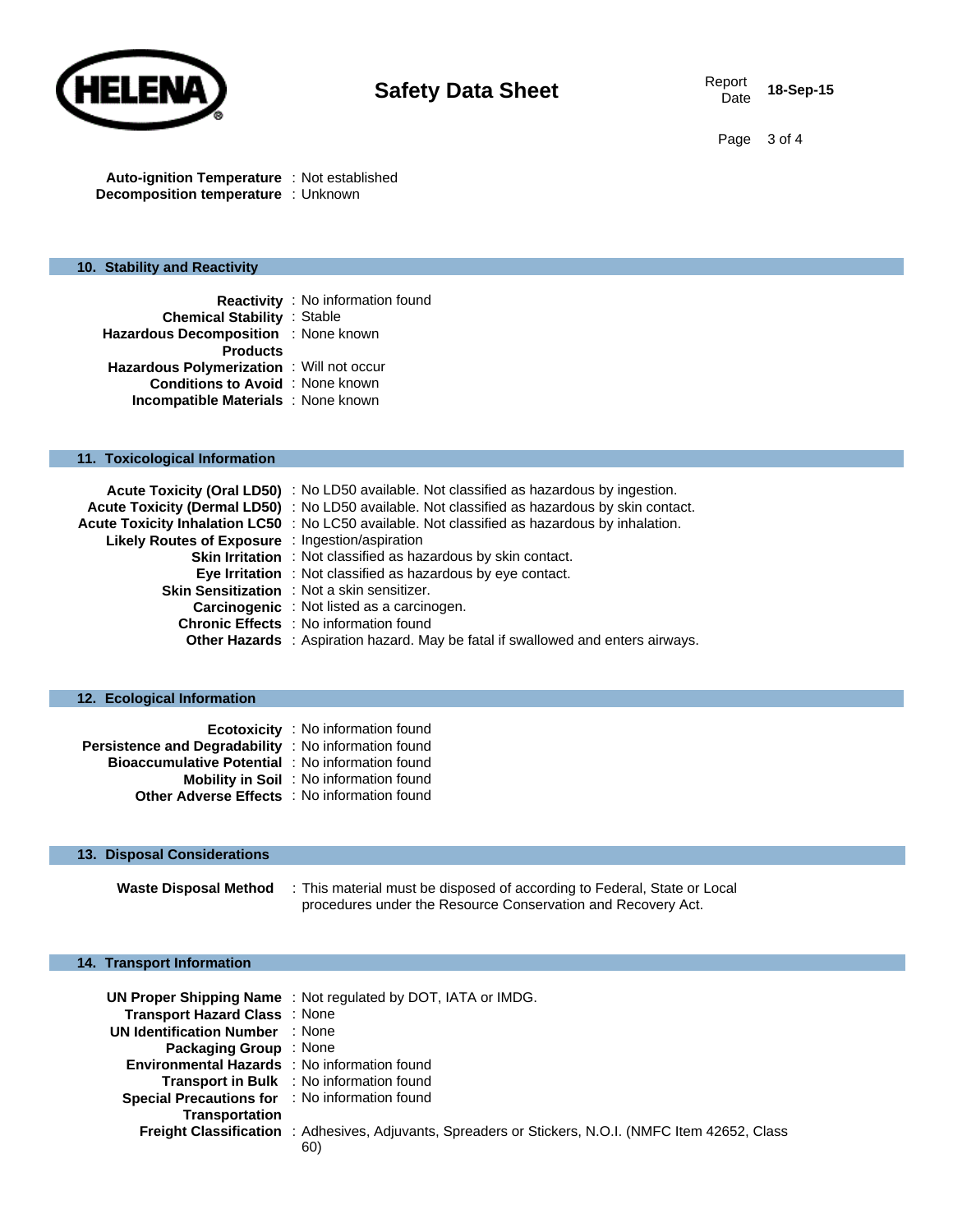

Page 3 of 4

**Auto-ignition Temperature** : Not established **Decomposition temperature** : Unknown

### **10. Stability and Reactivity**

|                                            | <b>Reactivity</b> : No information found |
|--------------------------------------------|------------------------------------------|
| <b>Chemical Stability : Stable</b>         |                                          |
| Hazardous Decomposition : None known       |                                          |
| <b>Products</b>                            |                                          |
| Hazardous Polymerization : Will not occur  |                                          |
| <b>Conditions to Avoid</b> : None known    |                                          |
| <b>Incompatible Materials</b> : None known |                                          |

#### **11. Toxicological Information**

|                                                  | Acute Toxicity (Oral LD50) : No LD50 available. Not classified as hazardous by ingestion.      |
|--------------------------------------------------|------------------------------------------------------------------------------------------------|
|                                                  | Acute Toxicity (Dermal LD50) : No LD50 available. Not classified as hazardous by skin contact. |
|                                                  | Acute Toxicity Inhalation LC50 : No LC50 available. Not classified as hazardous by inhalation. |
| Likely Routes of Exposure : Ingestion/aspiration |                                                                                                |
|                                                  | <b>Skin Irritation</b> : Not classified as hazardous by skin contact.                          |
|                                                  | Eye Irritation : Not classified as hazardous by eye contact.                                   |
|                                                  | Skin Sensitization : Not a skin sensitizer.                                                    |
|                                                  | <b>Carcinogenic</b> : Not listed as a carcinogen.                                              |
|                                                  | <b>Chronic Effects</b> : No information found                                                  |
|                                                  | <b>Other Hazards</b> : Aspiration hazard. May be fatal if swallowed and enters airways.        |

### **12. Ecological Information**

|                                                         | <b>Ecotoxicity</b> : No information found      |
|---------------------------------------------------------|------------------------------------------------|
| Persistence and Degradability : No information found    |                                                |
| <b>Bioaccumulative Potential</b> : No information found |                                                |
|                                                         | <b>Mobility in Soil</b> : No information found |
| <b>Other Adverse Effects</b> : No information found     |                                                |

### **13. Disposal Considerations**

**Waste Disposal Method** : This material must be disposed of according to Federal, State or Local procedures under the Resource Conservation and Recovery Act.

#### **14. Transport Information**

|                                                     | UN Proper Shipping Name: Not regulated by DOT, IATA or IMDG.                                         |
|-----------------------------------------------------|------------------------------------------------------------------------------------------------------|
| Transport Hazard Class: None                        |                                                                                                      |
| <b>UN Identification Number</b> : None              |                                                                                                      |
| <b>Packaging Group</b> : None                       |                                                                                                      |
| <b>Environmental Hazards</b> : No information found |                                                                                                      |
|                                                     | Transport in Bulk : No information found                                                             |
| Special Precautions for : No information found      |                                                                                                      |
| <b>Transportation</b>                               |                                                                                                      |
|                                                     | Freight Classification : Adhesives, Adjuvants, Spreaders or Stickers, N.O.I. (NMFC Item 42652, Class |
|                                                     | 60)                                                                                                  |